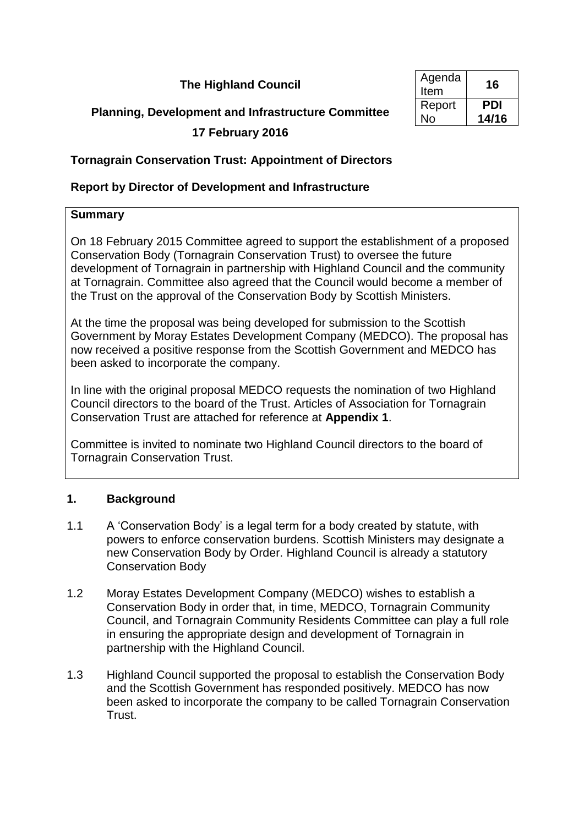# **The Highland Council**

# **Planning, Development and Infrastructure Committee**

# **17 February 2016**

| Agenda<br>Item | 16    |
|----------------|-------|
| Report         | PDI   |
| N٥             | 14/16 |

# **Tornagrain Conservation Trust: Appointment of Directors**

# **Report by Director of Development and Infrastructure**

# **Summary**

On 18 February 2015 Committee agreed to support the establishment of a proposed Conservation Body (Tornagrain Conservation Trust) to oversee the future development of Tornagrain in partnership with Highland Council and the community at Tornagrain. Committee also agreed that the Council would become a member of the Trust on the approval of the Conservation Body by Scottish Ministers.

At the time the proposal was being developed for submission to the Scottish Government by Moray Estates Development Company (MEDCO). The proposal has now received a positive response from the Scottish Government and MEDCO has been asked to incorporate the company.

In line with the original proposal MEDCO requests the nomination of two Highland Council directors to the board of the Trust. Articles of Association for Tornagrain Conservation Trust are attached for reference at **Appendix 1**.

Committee is invited to nominate two Highland Council directors to the board of Tornagrain Conservation Trust.

# **1. Background**

- 1.1 A 'Conservation Body' is a legal term for a body created by statute, with powers to enforce conservation burdens. Scottish Ministers may designate a new Conservation Body by Order. Highland Council is already a statutory Conservation Body
- 1.2 Moray Estates Development Company (MEDCO) wishes to establish a Conservation Body in order that, in time, MEDCO, Tornagrain Community Council, and Tornagrain Community Residents Committee can play a full role in ensuring the appropriate design and development of Tornagrain in partnership with the Highland Council.
- 1.3 Highland Council supported the proposal to establish the Conservation Body and the Scottish Government has responded positively. MEDCO has now been asked to incorporate the company to be called Tornagrain Conservation Trust.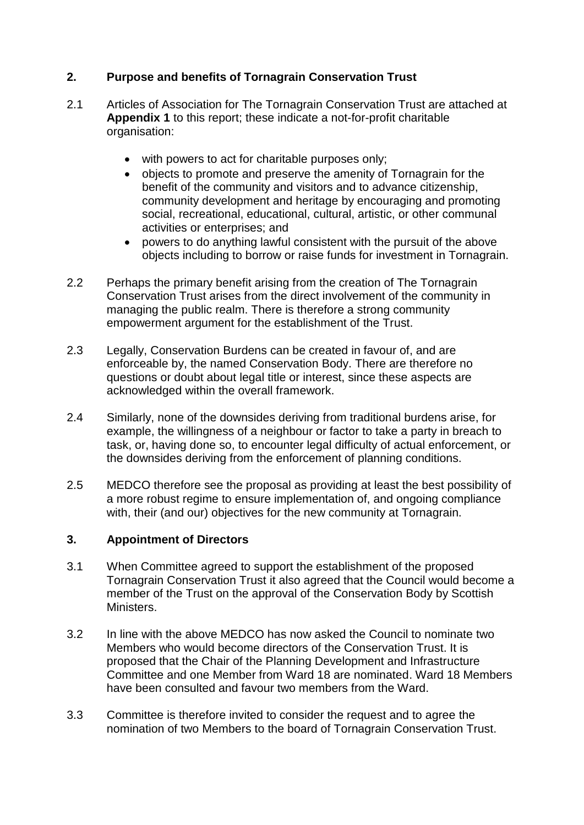# **2. Purpose and benefits of Tornagrain Conservation Trust**

- 2.1 Articles of Association for The Tornagrain Conservation Trust are attached at **Appendix 1** to this report; these indicate a not-for-profit charitable organisation:
	- with powers to act for charitable purposes only:
	- objects to promote and preserve the amenity of Tornagrain for the benefit of the community and visitors and to advance citizenship, community development and heritage by encouraging and promoting social, recreational, educational, cultural, artistic, or other communal activities or enterprises; and
	- powers to do anything lawful consistent with the pursuit of the above objects including to borrow or raise funds for investment in Tornagrain.
- 2.2 Perhaps the primary benefit arising from the creation of The Tornagrain Conservation Trust arises from the direct involvement of the community in managing the public realm. There is therefore a strong community empowerment argument for the establishment of the Trust.
- 2.3 Legally, Conservation Burdens can be created in favour of, and are enforceable by, the named Conservation Body. There are therefore no questions or doubt about legal title or interest, since these aspects are acknowledged within the overall framework.
- 2.4 Similarly, none of the downsides deriving from traditional burdens arise, for example, the willingness of a neighbour or factor to take a party in breach to task, or, having done so, to encounter legal difficulty of actual enforcement, or the downsides deriving from the enforcement of planning conditions.
- 2.5 MEDCO therefore see the proposal as providing at least the best possibility of a more robust regime to ensure implementation of, and ongoing compliance with, their (and our) objectives for the new community at Tornagrain.

### **3. Appointment of Directors**

- 3.1 When Committee agreed to support the establishment of the proposed Tornagrain Conservation Trust it also agreed that the Council would become a member of the Trust on the approval of the Conservation Body by Scottish Ministers.
- 3.2 In line with the above MEDCO has now asked the Council to nominate two Members who would become directors of the Conservation Trust. It is proposed that the Chair of the Planning Development and Infrastructure Committee and one Member from Ward 18 are nominated. Ward 18 Members have been consulted and favour two members from the Ward.
- 3.3 Committee is therefore invited to consider the request and to agree the nomination of two Members to the board of Tornagrain Conservation Trust.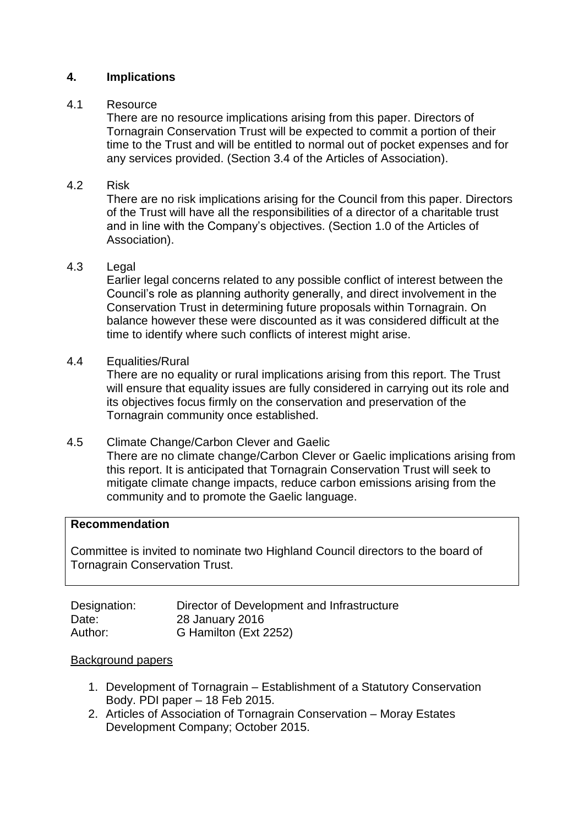### **4. Implications**

### 4.1 Resource

There are no resource implications arising from this paper. Directors of Tornagrain Conservation Trust will be expected to commit a portion of their time to the Trust and will be entitled to normal out of pocket expenses and for any services provided. (Section 3.4 of the Articles of Association).

# 4.2 Risk

There are no risk implications arising for the Council from this paper. Directors of the Trust will have all the responsibilities of a director of a charitable trust and in line with the Company's objectives. (Section 1.0 of the Articles of Association).

### 4.3 Legal

Earlier legal concerns related to any possible conflict of interest between the Council's role as planning authority generally, and direct involvement in the Conservation Trust in determining future proposals within Tornagrain. On balance however these were discounted as it was considered difficult at the time to identify where such conflicts of interest might arise.

4.4 Equalities/Rural

There are no equality or rural implications arising from this report. The Trust will ensure that equality issues are fully considered in carrying out its role and its objectives focus firmly on the conservation and preservation of the Tornagrain community once established.

# 4.5 Climate Change/Carbon Clever and Gaelic

There are no climate change/Carbon Clever or Gaelic implications arising from this report. It is anticipated that Tornagrain Conservation Trust will seek to mitigate climate change impacts, reduce carbon emissions arising from the community and to promote the Gaelic language.

### **Recommendation**

Committee is invited to nominate two Highland Council directors to the board of Tornagrain Conservation Trust.

| Designation: | Director of Development and Infrastructure |
|--------------|--------------------------------------------|
| Date:        | 28 January 2016                            |
| Author:      | G Hamilton (Ext 2252)                      |

### Background papers

- 1. Development of Tornagrain Establishment of a Statutory Conservation Body. PDI paper – 18 Feb 2015.
- 2. Articles of Association of Tornagrain Conservation Moray Estates Development Company; October 2015.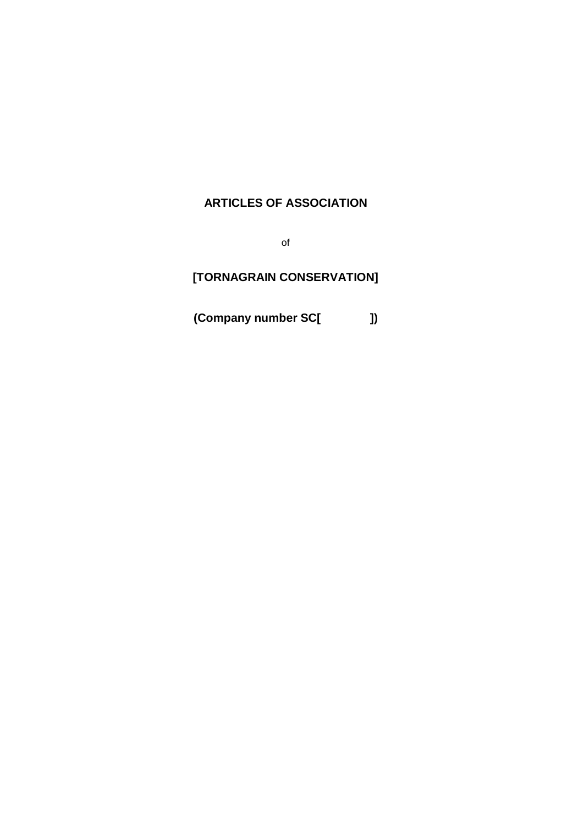# **ARTICLES OF ASSOCIATION**

of

# **[TORNAGRAIN CONSERVATION]**

**(Company number SC[ ])**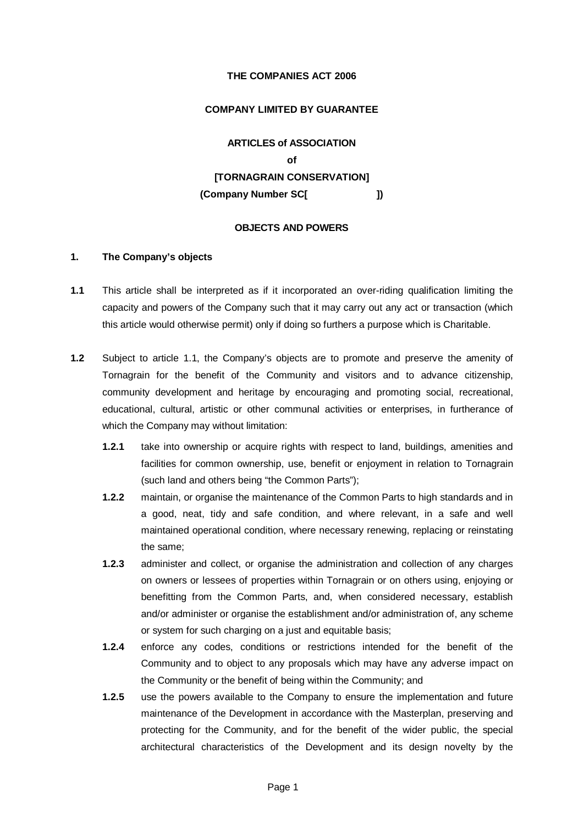#### **THE COMPANIES ACT 2006**

#### **COMPANY LIMITED BY GUARANTEE**

**ARTICLES of ASSOCIATION of [TORNAGRAIN CONSERVATION] (Company Number SC[ ])**

#### **OBJECTS AND POWERS**

#### **1. The Company's objects**

- <span id="page-4-0"></span>**1.1** This article shall be interpreted as if it incorporated an over-riding qualification limiting the capacity and powers of the Company such that it may carry out any act or transaction (which this article would otherwise permit) only if doing so furthers a purpose which is Charitable.
- **1.2** Subject to article [1.1,](#page-4-0) the Company's objects are to promote and preserve the amenity of Tornagrain for the benefit of the Community and visitors and to advance citizenship, community development and heritage by encouraging and promoting social, recreational, educational, cultural, artistic or other communal activities or enterprises, in furtherance of which the Company may without limitation:
	- **1.2.1** take into ownership or acquire rights with respect to land, buildings, amenities and facilities for common ownership, use, benefit or enjoyment in relation to Tornagrain (such land and others being "the Common Parts");
	- **1.2.2** maintain, or organise the maintenance of the Common Parts to high standards and in a good, neat, tidy and safe condition, and where relevant, in a safe and well maintained operational condition, where necessary renewing, replacing or reinstating the same;
	- **1.2.3** administer and collect, or organise the administration and collection of any charges on owners or lessees of properties within Tornagrain or on others using, enjoying or benefitting from the Common Parts, and, when considered necessary, establish and/or administer or organise the establishment and/or administration of, any scheme or system for such charging on a just and equitable basis;
	- **1.2.4** enforce any codes, conditions or restrictions intended for the benefit of the Community and to object to any proposals which may have any adverse impact on the Community or the benefit of being within the Community; and
	- **1.2.5** use the powers available to the Company to ensure the implementation and future maintenance of the Development in accordance with the Masterplan, preserving and protecting for the Community, and for the benefit of the wider public, the special architectural characteristics of the Development and its design novelty by the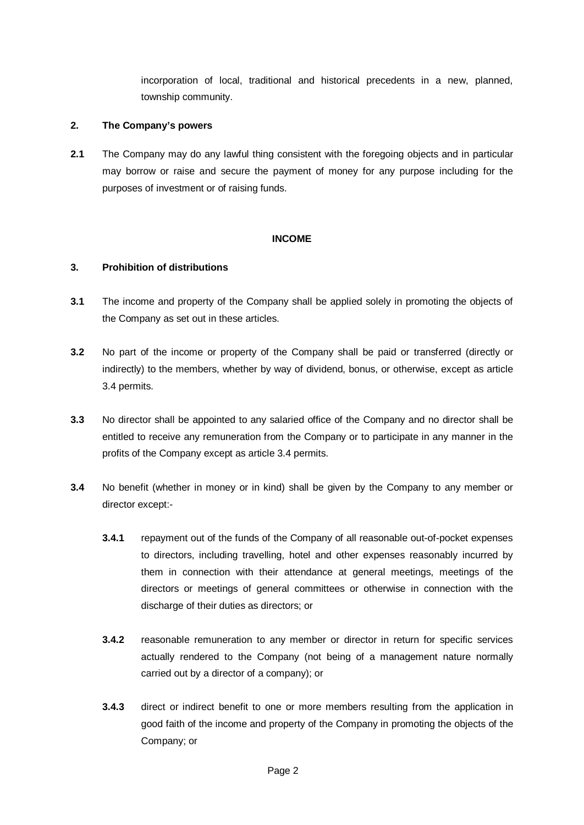incorporation of local, traditional and historical precedents in a new, planned, township community.

#### **2. The Company's powers**

**2.1** The Company may do any lawful thing consistent with the foregoing objects and in particular may borrow or raise and secure the payment of money for any purpose including for the purposes of investment or of raising funds.

#### **INCOME**

#### **3. Prohibition of distributions**

- **3.1** The income and property of the Company shall be applied solely in promoting the objects of the Company as set out in these articles.
- **3.2** No part of the income or property of the Company shall be paid or transferred (directly or indirectly) to the members, whether by way of dividend, bonus, or otherwise, except as article [3.4](#page-5-0) permits.
- **3.3** No director shall be appointed to any salaried office of the Company and no director shall be entitled to receive any remuneration from the Company or to participate in any manner in the profits of the Company except as article [3.4](#page-5-0) permits.
- <span id="page-5-0"></span>**3.4** No benefit (whether in money or in kind) shall be given by the Company to any member or director except:-
	- **3.4.1** repayment out of the funds of the Company of all reasonable out-of-pocket expenses to directors, including travelling, hotel and other expenses reasonably incurred by them in connection with their attendance at general meetings, meetings of the directors or meetings of general committees or otherwise in connection with the discharge of their duties as directors; or
	- **3.4.2** reasonable remuneration to any member or director in return for specific services actually rendered to the Company (not being of a management nature normally carried out by a director of a company); or
	- **3.4.3** direct or indirect benefit to one or more members resulting from the application in good faith of the income and property of the Company in promoting the objects of the Company; or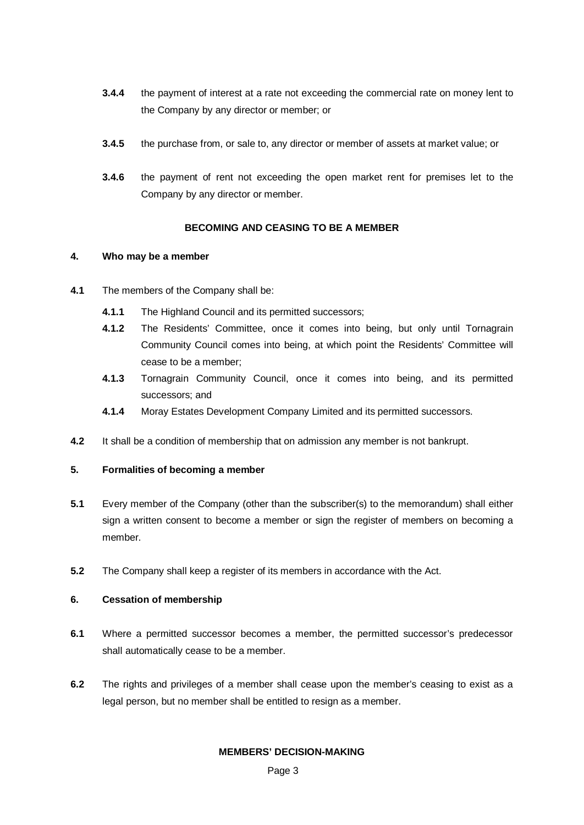- **3.4.4** the payment of interest at a rate not exceeding the commercial rate on money lent to the Company by any director or member; or
- **3.4.5** the purchase from, or sale to, any director or member of assets at market value; or
- **3.4.6** the payment of rent not exceeding the open market rent for premises let to the Company by any director or member.

#### **BECOMING AND CEASING TO BE A MEMBER**

#### **4. Who may be a member**

- **4.1** The members of the Company shall be:
	- **4.1.1** The Highland Council and its permitted successors;
	- **4.1.2** The Residents' Committee, once it comes into being, but only until Tornagrain Community Council comes into being, at which point the Residents' Committee will cease to be a member;
	- **4.1.3** Tornagrain Community Council, once it comes into being, and its permitted successors; and
	- **4.1.4** Moray Estates Development Company Limited and its permitted successors.
- **4.2** It shall be a condition of membership that on admission any member is not bankrupt.

#### **5. Formalities of becoming a member**

- **5.1** Every member of the Company (other than the subscriber(s) to the memorandum) shall either sign a written consent to become a member or sign the register of members on becoming a member.
- **5.2** The Company shall keep a register of its members in accordance with the Act.

#### **6. Cessation of membership**

- **6.1** Where a permitted successor becomes a member, the permitted successor's predecessor shall automatically cease to be a member.
- **6.2** The rights and privileges of a member shall cease upon the member's ceasing to exist as a legal person, but no member shall be entitled to resign as a member.

#### **MEMBERS' DECISION-MAKING**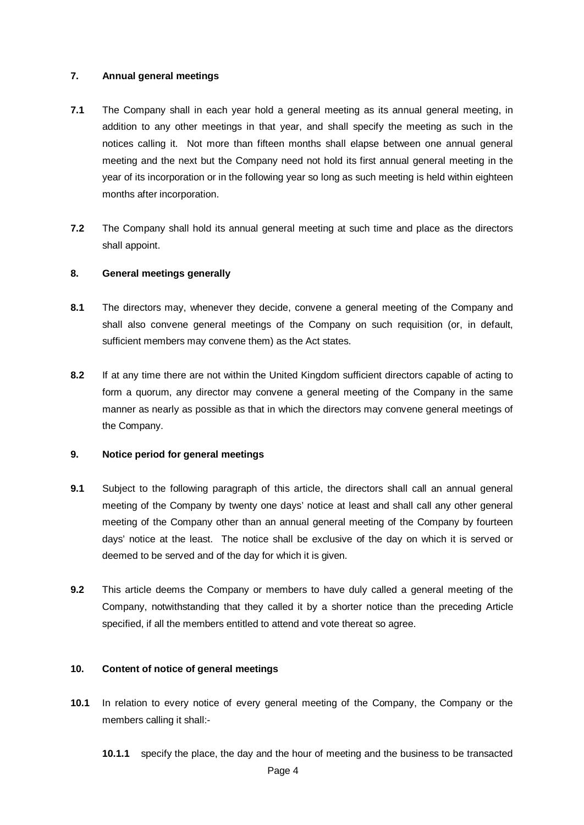#### **7. Annual general meetings**

- **7.1** The Company shall in each year hold a general meeting as its annual general meeting, in addition to any other meetings in that year, and shall specify the meeting as such in the notices calling it. Not more than fifteen months shall elapse between one annual general meeting and the next but the Company need not hold its first annual general meeting in the year of its incorporation or in the following year so long as such meeting is held within eighteen months after incorporation.
- **7.2** The Company shall hold its annual general meeting at such time and place as the directors shall appoint.

#### **8. General meetings generally**

- **8.1** The directors may, whenever they decide, convene a general meeting of the Company and shall also convene general meetings of the Company on such requisition (or, in default, sufficient members may convene them) as the Act states.
- **8.2** If at any time there are not within the United Kingdom sufficient directors capable of acting to form a quorum, any director may convene a general meeting of the Company in the same manner as nearly as possible as that in which the directors may convene general meetings of the Company.

#### **9. Notice period for general meetings**

- **9.1** Subject to the following paragraph of this article, the directors shall call an annual general meeting of the Company by twenty one days' notice at least and shall call any other general meeting of the Company other than an annual general meeting of the Company by fourteen days' notice at the least. The notice shall be exclusive of the day on which it is served or deemed to be served and of the day for which it is given.
- **9.2** This article deems the Company or members to have duly called a general meeting of the Company, notwithstanding that they called it by a shorter notice than the preceding Article specified, if all the members entitled to attend and vote thereat so agree.

#### **10. Content of notice of general meetings**

- **10.1** In relation to every notice of every general meeting of the Company, the Company or the members calling it shall:-
	- **10.1.1** specify the place, the day and the hour of meeting and the business to be transacted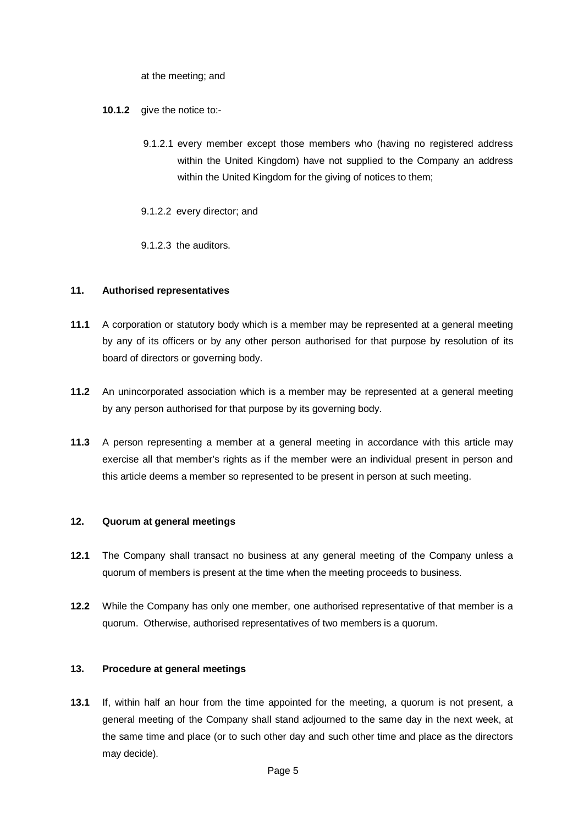at the meeting; and

- **10.1.2** give the notice to:-
	- 9.1.2.1 every member except those members who (having no registered address within the United Kingdom) have not supplied to the Company an address within the United Kingdom for the giving of notices to them;
	- 9.1.2.2 every director; and
	- 9.1.2.3 the auditors.

#### **11. Authorised representatives**

- **11.1** A corporation or statutory body which is a member may be represented at a general meeting by any of its officers or by any other person authorised for that purpose by resolution of its board of directors or governing body.
- **11.2** An unincorporated association which is a member may be represented at a general meeting by any person authorised for that purpose by its governing body.
- **11.3** A person representing a member at a general meeting in accordance with this article may exercise all that member's rights as if the member were an individual present in person and this article deems a member so represented to be present in person at such meeting.

#### **12. Quorum at general meetings**

- **12.1** The Company shall transact no business at any general meeting of the Company unless a quorum of members is present at the time when the meeting proceeds to business.
- **12.2** While the Company has only one member, one authorised representative of that member is a quorum. Otherwise, authorised representatives of two members is a quorum.

#### **13. Procedure at general meetings**

**13.1** If, within half an hour from the time appointed for the meeting, a quorum is not present, a general meeting of the Company shall stand adjourned to the same day in the next week, at the same time and place (or to such other day and such other time and place as the directors may decide).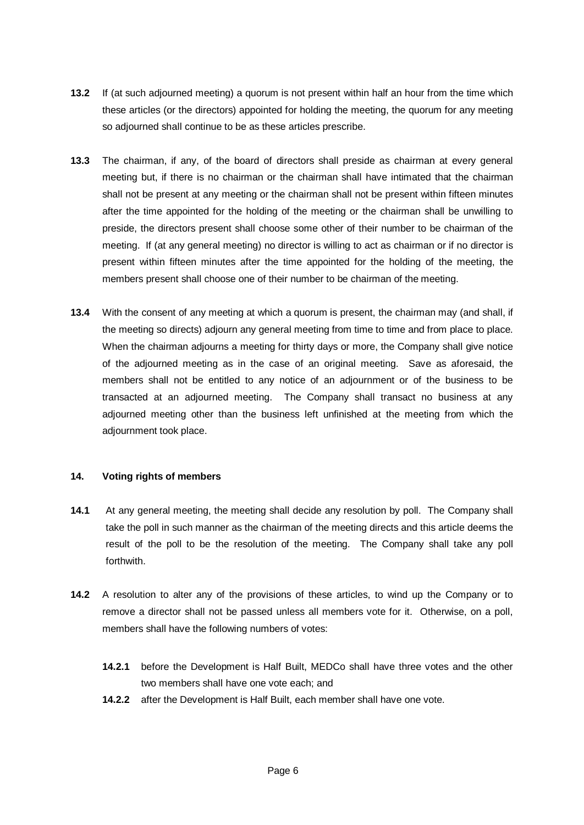- **13.2** If (at such adjourned meeting) a quorum is not present within half an hour from the time which these articles (or the directors) appointed for holding the meeting, the quorum for any meeting so adjourned shall continue to be as these articles prescribe.
- **13.3** The chairman, if any, of the board of directors shall preside as chairman at every general meeting but, if there is no chairman or the chairman shall have intimated that the chairman shall not be present at any meeting or the chairman shall not be present within fifteen minutes after the time appointed for the holding of the meeting or the chairman shall be unwilling to preside, the directors present shall choose some other of their number to be chairman of the meeting. If (at any general meeting) no director is willing to act as chairman or if no director is present within fifteen minutes after the time appointed for the holding of the meeting, the members present shall choose one of their number to be chairman of the meeting.
- **13.4** With the consent of any meeting at which a quorum is present, the chairman may (and shall, if the meeting so directs) adjourn any general meeting from time to time and from place to place. When the chairman adjourns a meeting for thirty days or more, the Company shall give notice of the adjourned meeting as in the case of an original meeting. Save as aforesaid, the members shall not be entitled to any notice of an adjournment or of the business to be transacted at an adjourned meeting. The Company shall transact no business at any adjourned meeting other than the business left unfinished at the meeting from which the adjournment took place.

#### **14. Voting rights of members**

- **14.1** At any general meeting, the meeting shall decide any resolution by poll. The Company shall take the poll in such manner as the chairman of the meeting directs and this article deems the result of the poll to be the resolution of the meeting. The Company shall take any poll forthwith.
- **14.2** A resolution to alter any of the provisions of these articles, to wind up the Company or to remove a director shall not be passed unless all members vote for it. Otherwise, on a poll, members shall have the following numbers of votes:
	- **14.2.1** before the Development is Half Built, MEDCo shall have three votes and the other two members shall have one vote each; and
	- **14.2.2** after the Development is Half Built, each member shall have one vote.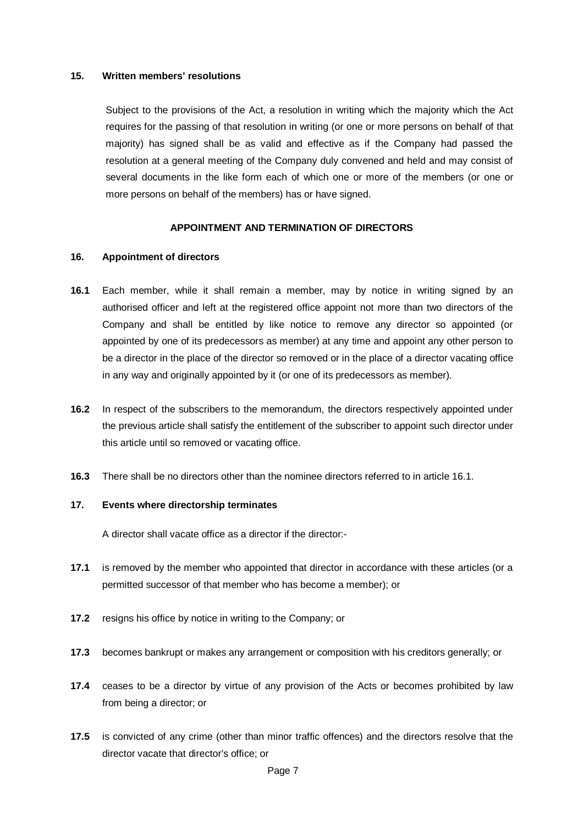#### **15. Written members' resolutions**

Subject to the provisions of the Act, a resolution in writing which the majority which the Act requires for the passing of that resolution in writing (or one or more persons on behalf of that majority) has signed shall be as valid and effective as if the Company had passed the resolution at a general meeting of the Company duly convened and held and may consist of several documents in the like form each of which one or more of the members (or one or more persons on behalf of the members) has or have signed.

#### **APPOINTMENT AND TERMINATION OF DIRECTORS**

#### **16. Appointment of directors**

- <span id="page-10-0"></span>**16.1** Each member, while it shall remain a member, may by notice in writing signed by an authorised officer and left at the registered office appoint not more than two directors of the Company and shall be entitled by like notice to remove any director so appointed (or appointed by one of its predecessors as member) at any time and appoint any other person to be a director in the place of the director so removed or in the place of a director vacating office in any way and originally appointed by it (or one of its predecessors as member).
- **16.2** In respect of the subscribers to the memorandum, the directors respectively appointed under the previous article shall satisfy the entitlement of the subscriber to appoint such director under this article until so removed or vacating office.
- **16.3** There shall be no directors other than the nominee directors referred to in article [16.1.](#page-10-0)

#### **17. Events where directorship terminates**

A director shall vacate office as a director if the director:-

- **17.1** is removed by the member who appointed that director in accordance with these articles (or a permitted successor of that member who has become a member); or
- **17.2** resigns his office by notice in writing to the Company; or
- **17.3** becomes bankrupt or makes any arrangement or composition with his creditors generally; or
- **17.4** ceases to be a director by virtue of any provision of the Acts or becomes prohibited by law from being a director; or
- **17.5** is convicted of any crime (other than minor traffic offences) and the directors resolve that the director vacate that director's office; or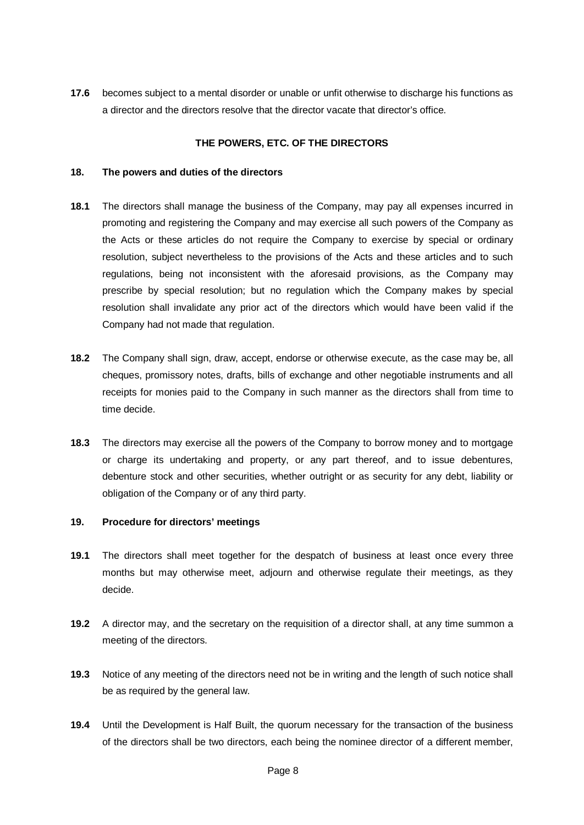**17.6** becomes subject to a mental disorder or unable or unfit otherwise to discharge his functions as a director and the directors resolve that the director vacate that director's office.

#### **THE POWERS, ETC. OF THE DIRECTORS**

#### **18. The powers and duties of the directors**

- **18.1** The directors shall manage the business of the Company, may pay all expenses incurred in promoting and registering the Company and may exercise all such powers of the Company as the Acts or these articles do not require the Company to exercise by special or ordinary resolution, subject nevertheless to the provisions of the Acts and these articles and to such regulations, being not inconsistent with the aforesaid provisions, as the Company may prescribe by special resolution; but no regulation which the Company makes by special resolution shall invalidate any prior act of the directors which would have been valid if the Company had not made that regulation.
- **18.2** The Company shall sign, draw, accept, endorse or otherwise execute, as the case may be, all cheques, promissory notes, drafts, bills of exchange and other negotiable instruments and all receipts for monies paid to the Company in such manner as the directors shall from time to time decide.
- **18.3** The directors may exercise all the powers of the Company to borrow money and to mortgage or charge its undertaking and property, or any part thereof, and to issue debentures, debenture stock and other securities, whether outright or as security for any debt, liability or obligation of the Company or of any third party.

#### **19. Procedure for directors' meetings**

- **19.1** The directors shall meet together for the despatch of business at least once every three months but may otherwise meet, adjourn and otherwise regulate their meetings, as they decide.
- **19.2** A director may, and the secretary on the requisition of a director shall, at any time summon a meeting of the directors.
- **19.3** Notice of any meeting of the directors need not be in writing and the length of such notice shall be as required by the general law.
- **19.4** Until the Development is Half Built, the quorum necessary for the transaction of the business of the directors shall be two directors, each being the nominee director of a different member,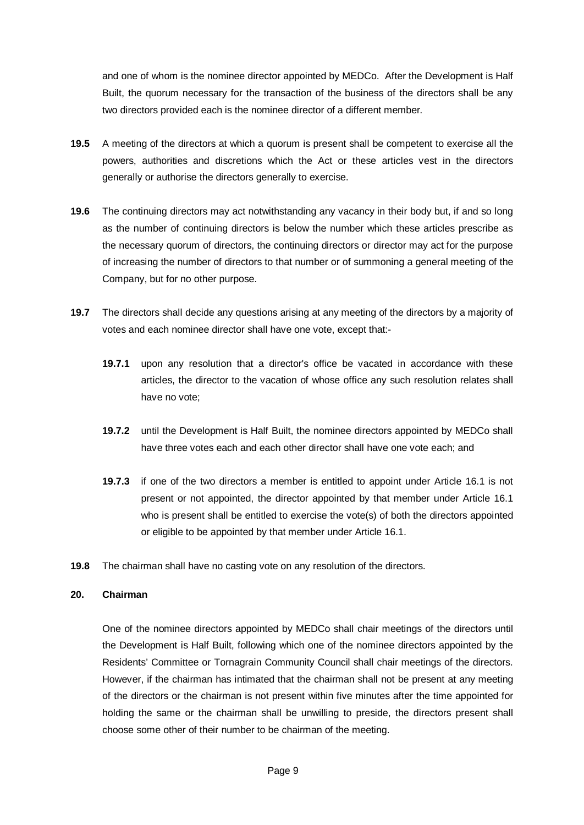and one of whom is the nominee director appointed by MEDCo. After the Development is Half Built, the quorum necessary for the transaction of the business of the directors shall be any two directors provided each is the nominee director of a different member.

- **19.5** A meeting of the directors at which a quorum is present shall be competent to exercise all the powers, authorities and discretions which the Act or these articles vest in the directors generally or authorise the directors generally to exercise.
- **19.6** The continuing directors may act notwithstanding any vacancy in their body but, if and so long as the number of continuing directors is below the number which these articles prescribe as the necessary quorum of directors, the continuing directors or director may act for the purpose of increasing the number of directors to that number or of summoning a general meeting of the Company, but for no other purpose.
- **19.7** The directors shall decide any questions arising at any meeting of the directors by a majority of votes and each nominee director shall have one vote, except that:-
	- **19.7.1** upon any resolution that a director's office be vacated in accordance with these articles, the director to the vacation of whose office any such resolution relates shall have no vote;
	- **19.7.2** until the Development is Half Built, the nominee directors appointed by MEDCo shall have three votes each and each other director shall have one vote each; and
	- **19.7.3** if one of the two directors a member is entitled to appoint under Article [16.1](#page-10-0) is not present or not appointed, the director appointed by that member under Article [16.1](#page-10-0) who is present shall be entitled to exercise the vote(s) of both the directors appointed or eligible to be appointed by that member under Article [16.1.](#page-10-0)
- **19.8** The chairman shall have no casting vote on any resolution of the directors.

#### **20. Chairman**

One of the nominee directors appointed by MEDCo shall chair meetings of the directors until the Development is Half Built, following which one of the nominee directors appointed by the Residents' Committee or Tornagrain Community Council shall chair meetings of the directors. However, if the chairman has intimated that the chairman shall not be present at any meeting of the directors or the chairman is not present within five minutes after the time appointed for holding the same or the chairman shall be unwilling to preside, the directors present shall choose some other of their number to be chairman of the meeting.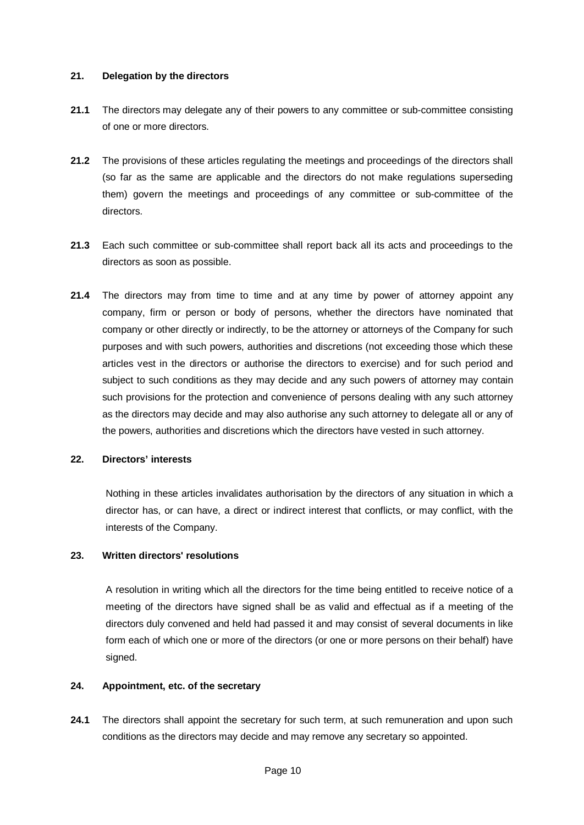#### **21. Delegation by the directors**

- **21.1** The directors may delegate any of their powers to any committee or sub-committee consisting of one or more directors.
- **21.2** The provisions of these articles regulating the meetings and proceedings of the directors shall (so far as the same are applicable and the directors do not make regulations superseding them) govern the meetings and proceedings of any committee or sub-committee of the directors.
- **21.3** Each such committee or sub-committee shall report back all its acts and proceedings to the directors as soon as possible.
- **21.4** The directors may from time to time and at any time by power of attorney appoint any company, firm or person or body of persons, whether the directors have nominated that company or other directly or indirectly, to be the attorney or attorneys of the Company for such purposes and with such powers, authorities and discretions (not exceeding those which these articles vest in the directors or authorise the directors to exercise) and for such period and subject to such conditions as they may decide and any such powers of attorney may contain such provisions for the protection and convenience of persons dealing with any such attorney as the directors may decide and may also authorise any such attorney to delegate all or any of the powers, authorities and discretions which the directors have vested in such attorney.

#### **22. Directors' interests**

Nothing in these articles invalidates authorisation by the directors of any situation in which a director has, or can have, a direct or indirect interest that conflicts, or may conflict, with the interests of the Company.

#### **23. Written directors' resolutions**

A resolution in writing which all the directors for the time being entitled to receive notice of a meeting of the directors have signed shall be as valid and effectual as if a meeting of the directors duly convened and held had passed it and may consist of several documents in like form each of which one or more of the directors (or one or more persons on their behalf) have signed.

#### **24. Appointment, etc. of the secretary**

**24.1** The directors shall appoint the secretary for such term, at such remuneration and upon such conditions as the directors may decide and may remove any secretary so appointed.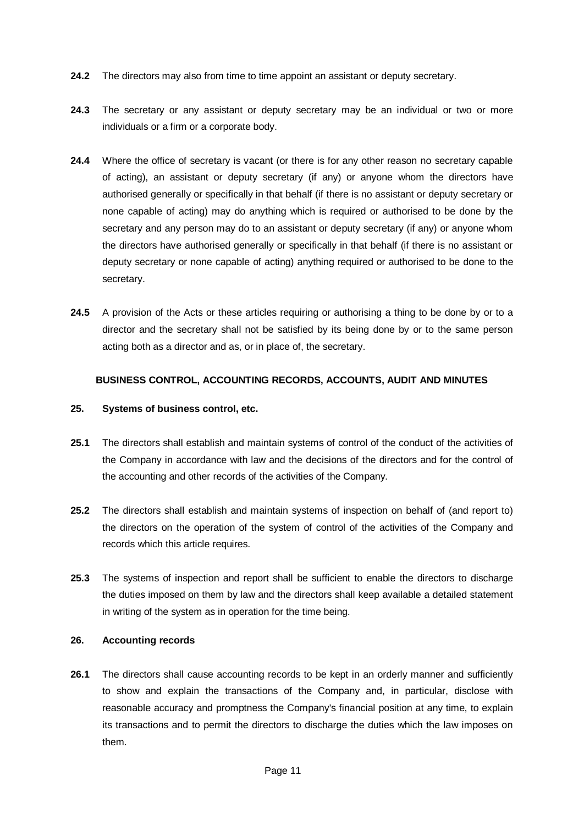- **24.2** The directors may also from time to time appoint an assistant or deputy secretary.
- **24.3** The secretary or any assistant or deputy secretary may be an individual or two or more individuals or a firm or a corporate body.
- **24.4** Where the office of secretary is vacant (or there is for any other reason no secretary capable of acting), an assistant or deputy secretary (if any) or anyone whom the directors have authorised generally or specifically in that behalf (if there is no assistant or deputy secretary or none capable of acting) may do anything which is required or authorised to be done by the secretary and any person may do to an assistant or deputy secretary (if any) or anyone whom the directors have authorised generally or specifically in that behalf (if there is no assistant or deputy secretary or none capable of acting) anything required or authorised to be done to the secretary.
- **24.5** A provision of the Acts or these articles requiring or authorising a thing to be done by or to a director and the secretary shall not be satisfied by its being done by or to the same person acting both as a director and as, or in place of, the secretary.

### **BUSINESS CONTROL, ACCOUNTING RECORDS, ACCOUNTS, AUDIT AND MINUTES**

#### **25. Systems of business control, etc.**

- **25.1** The directors shall establish and maintain systems of control of the conduct of the activities of the Company in accordance with law and the decisions of the directors and for the control of the accounting and other records of the activities of the Company.
- **25.2** The directors shall establish and maintain systems of inspection on behalf of (and report to) the directors on the operation of the system of control of the activities of the Company and records which this article requires.
- **25.3** The systems of inspection and report shall be sufficient to enable the directors to discharge the duties imposed on them by law and the directors shall keep available a detailed statement in writing of the system as in operation for the time being.

### **26. Accounting records**

**26.1** The directors shall cause accounting records to be kept in an orderly manner and sufficiently to show and explain the transactions of the Company and, in particular, disclose with reasonable accuracy and promptness the Company's financial position at any time, to explain its transactions and to permit the directors to discharge the duties which the law imposes on them.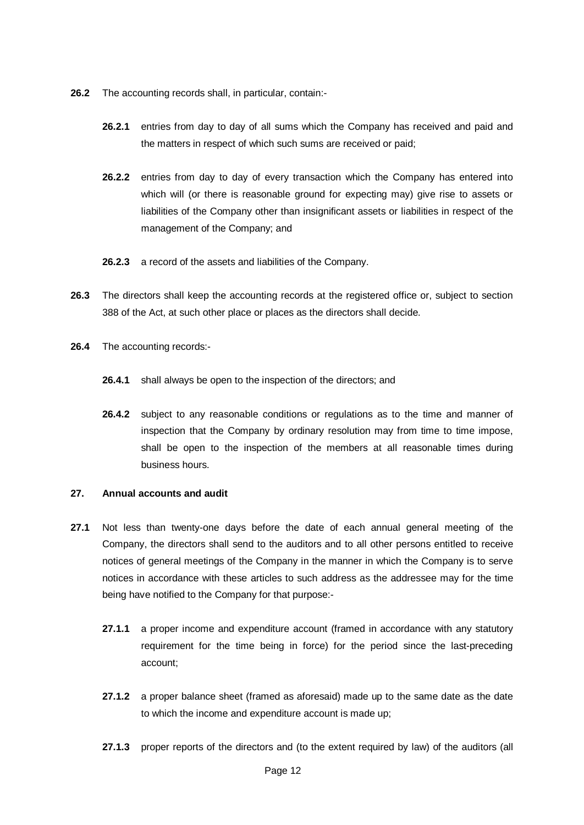- **26.2** The accounting records shall, in particular, contain:-
	- **26.2.1** entries from day to day of all sums which the Company has received and paid and the matters in respect of which such sums are received or paid;
	- **26.2.2** entries from day to day of every transaction which the Company has entered into which will (or there is reasonable ground for expecting may) give rise to assets or liabilities of the Company other than insignificant assets or liabilities in respect of the management of the Company; and
	- **26.2.3** a record of the assets and liabilities of the Company.
- **26.3** The directors shall keep the accounting records at the registered office or, subject to section 388 of the Act, at such other place or places as the directors shall decide.
- **26.4** The accounting records:-
	- **26.4.1** shall always be open to the inspection of the directors; and
	- **26.4.2** subject to any reasonable conditions or regulations as to the time and manner of inspection that the Company by ordinary resolution may from time to time impose, shall be open to the inspection of the members at all reasonable times during business hours.

#### **27. Annual accounts and audit**

- **27.1** Not less than twenty-one days before the date of each annual general meeting of the Company, the directors shall send to the auditors and to all other persons entitled to receive notices of general meetings of the Company in the manner in which the Company is to serve notices in accordance with these articles to such address as the addressee may for the time being have notified to the Company for that purpose:-
	- **27.1.1** a proper income and expenditure account (framed in accordance with any statutory requirement for the time being in force) for the period since the last-preceding account;
	- **27.1.2** a proper balance sheet (framed as aforesaid) made up to the same date as the date to which the income and expenditure account is made up;
	- **27.1.3** proper reports of the directors and (to the extent required by law) of the auditors (all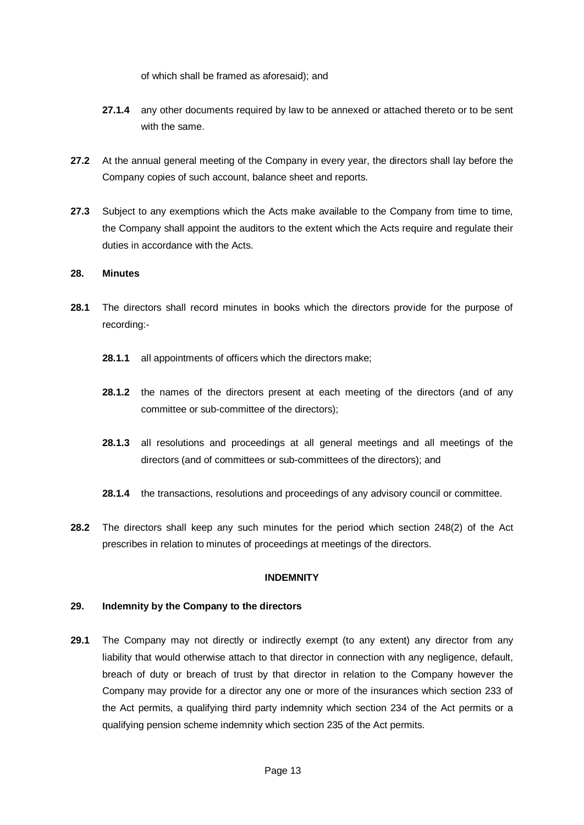of which shall be framed as aforesaid); and

- **27.1.4** any other documents required by law to be annexed or attached thereto or to be sent with the same.
- **27.2** At the annual general meeting of the Company in every year, the directors shall lay before the Company copies of such account, balance sheet and reports.
- **27.3** Subject to any exemptions which the Acts make available to the Company from time to time, the Company shall appoint the auditors to the extent which the Acts require and regulate their duties in accordance with the Acts.

#### **28. Minutes**

- **28.1** The directors shall record minutes in books which the directors provide for the purpose of recording:-
	- **28.1.1** all appointments of officers which the directors make;
	- **28.1.2** the names of the directors present at each meeting of the directors (and of any committee or sub-committee of the directors);
	- **28.1.3** all resolutions and proceedings at all general meetings and all meetings of the directors (and of committees or sub-committees of the directors); and
	- **28.1.4** the transactions, resolutions and proceedings of any advisory council or committee.
- **28.2** The directors shall keep any such minutes for the period which section 248(2) of the Act prescribes in relation to minutes of proceedings at meetings of the directors.

#### **INDEMNITY**

#### **29. Indemnity by the Company to the directors**

**29.1** The Company may not directly or indirectly exempt (to any extent) any director from any liability that would otherwise attach to that director in connection with any negligence, default, breach of duty or breach of trust by that director in relation to the Company however the Company may provide for a director any one or more of the insurances which section 233 of the Act permits, a qualifying third party indemnity which section 234 of the Act permits or a qualifying pension scheme indemnity which section 235 of the Act permits.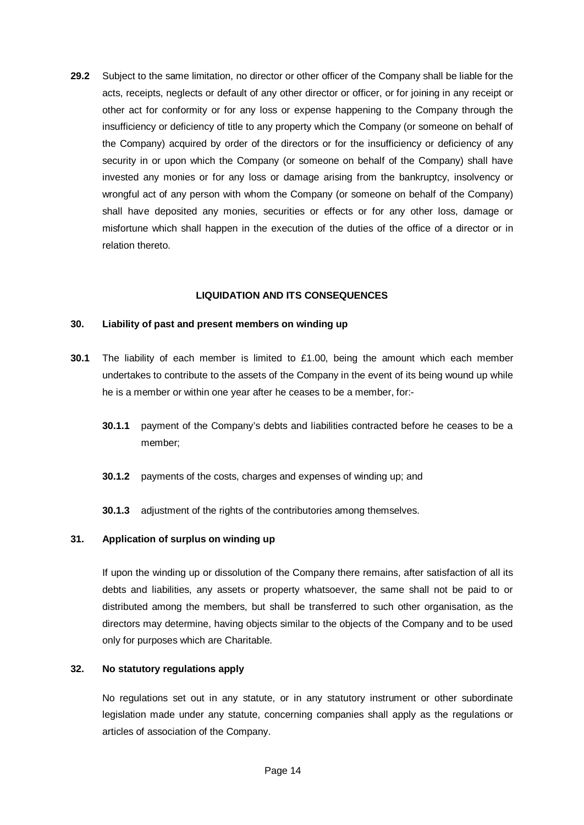**29.2** Subject to the same limitation, no director or other officer of the Company shall be liable for the acts, receipts, neglects or default of any other director or officer, or for joining in any receipt or other act for conformity or for any loss or expense happening to the Company through the insufficiency or deficiency of title to any property which the Company (or someone on behalf of the Company) acquired by order of the directors or for the insufficiency or deficiency of any security in or upon which the Company (or someone on behalf of the Company) shall have invested any monies or for any loss or damage arising from the bankruptcy, insolvency or wrongful act of any person with whom the Company (or someone on behalf of the Company) shall have deposited any monies, securities or effects or for any other loss, damage or misfortune which shall happen in the execution of the duties of the office of a director or in relation thereto.

#### **LIQUIDATION AND ITS CONSEQUENCES**

#### **30. Liability of past and present members on winding up**

- **30.1** The liability of each member is limited to £1.00, being the amount which each member undertakes to contribute to the assets of the Company in the event of its being wound up while he is a member or within one year after he ceases to be a member, for:-
	- **30.1.1** payment of the Company's debts and liabilities contracted before he ceases to be a member;
	- **30.1.2** payments of the costs, charges and expenses of winding up; and
	- **30.1.3** adjustment of the rights of the contributories among themselves.

#### **31. Application of surplus on winding up**

If upon the winding up or dissolution of the Company there remains, after satisfaction of all its debts and liabilities, any assets or property whatsoever, the same shall not be paid to or distributed among the members, but shall be transferred to such other organisation, as the directors may determine, having objects similar to the objects of the Company and to be used only for purposes which are Charitable.

#### **32. No statutory regulations apply**

No regulations set out in any statute, or in any statutory instrument or other subordinate legislation made under any statute, concerning companies shall apply as the regulations or articles of association of the Company.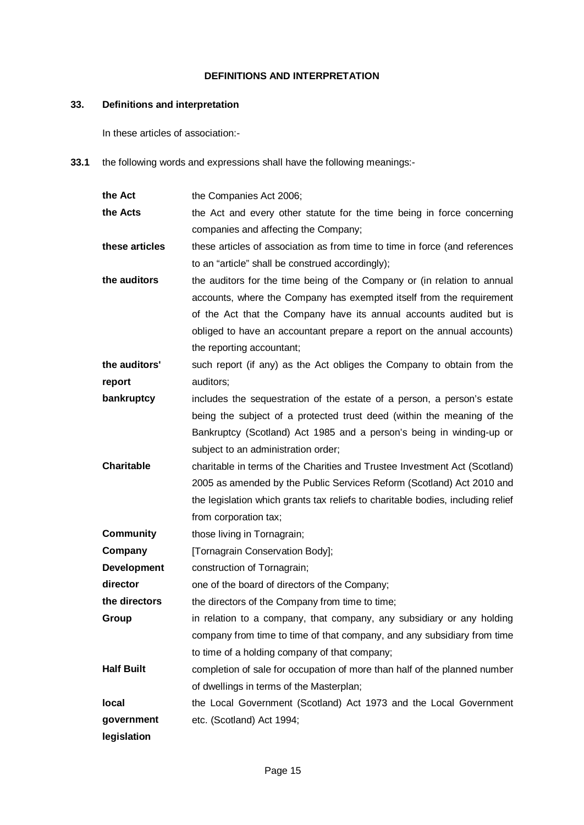#### **DEFINITIONS AND INTERPRETATION**

### **33. Definitions and interpretation**

In these articles of association:-

**33.1** the following words and expressions shall have the following meanings:-

| the Act            | the Companies Act 2006;                                                         |
|--------------------|---------------------------------------------------------------------------------|
| the Acts           | the Act and every other statute for the time being in force concerning          |
|                    | companies and affecting the Company;                                            |
| these articles     | these articles of association as from time to time in force (and references     |
|                    | to an "article" shall be construed accordingly);                                |
| the auditors       | the auditors for the time being of the Company or (in relation to annual        |
|                    | accounts, where the Company has exempted itself from the requirement            |
|                    | of the Act that the Company have its annual accounts audited but is             |
|                    | obliged to have an accountant prepare a report on the annual accounts)          |
|                    | the reporting accountant;                                                       |
| the auditors'      | such report (if any) as the Act obliges the Company to obtain from the          |
| report             | auditors;                                                                       |
| bankruptcy         | includes the sequestration of the estate of a person, a person's estate         |
|                    | being the subject of a protected trust deed (within the meaning of the          |
|                    | Bankruptcy (Scotland) Act 1985 and a person's being in winding-up or            |
|                    | subject to an administration order;                                             |
| <b>Charitable</b>  | charitable in terms of the Charities and Trustee Investment Act (Scotland)      |
|                    | 2005 as amended by the Public Services Reform (Scotland) Act 2010 and           |
|                    | the legislation which grants tax reliefs to charitable bodies, including relief |
|                    | from corporation tax;                                                           |
| <b>Community</b>   | those living in Tornagrain;                                                     |
| Company            | [Tornagrain Conservation Body];                                                 |
| <b>Development</b> | construction of Tornagrain;                                                     |
| director           | one of the board of directors of the Company;                                   |
| the directors      | the directors of the Company from time to time;                                 |
| Group              | in relation to a company, that company, any subsidiary or any holding           |
|                    | company from time to time of that company, and any subsidiary from time         |
|                    | to time of a holding company of that company;                                   |
| <b>Half Built</b>  | completion of sale for occupation of more than half of the planned number       |
|                    | of dwellings in terms of the Masterplan;                                        |
| local              | the Local Government (Scotland) Act 1973 and the Local Government               |
| government         | etc. (Scotland) Act 1994;                                                       |
| legislation        |                                                                                 |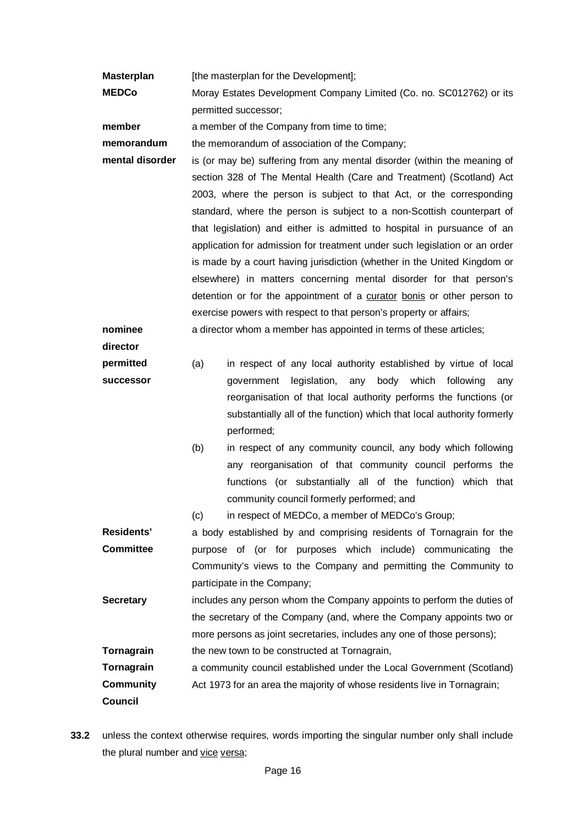**Masterplan** [the masterplan for the Development];

**MEDCo** Moray Estates Development Company Limited (Co. no. SC012762) or its permitted successor;

**member** a member of the Company from time to time:

**memorandum** the memorandum of association of the Company;

**mental disorder** is (or may be) suffering from any mental disorder (within the meaning of section 328 of The Mental Health (Care and Treatment) (Scotland) Act 2003, where the person is subject to that Act, or the corresponding standard, where the person is subject to a non-Scottish counterpart of that legislation) and either is admitted to hospital in pursuance of an application for admission for treatment under such legislation or an order is made by a court having jurisdiction (whether in the United Kingdom or elsewhere) in matters concerning mental disorder for that person's detention or for the appointment of a curator bonis or other person to exercise powers with respect to that person's property or affairs;

**nominee**  a director whom a member has appointed in terms of these articles;

**director**

**permitted successor**

- (a) in respect of any local authority established by virtue of local government legislation, any body which following any reorganisation of that local authority performs the functions (or substantially all of the function) which that local authority formerly performed;
	- (b) in respect of any community council, any body which following any reorganisation of that community council performs the functions (or substantially all of the function) which that community council formerly performed; and
	- (c) in respect of MEDCo, a member of MEDCo's Group;

**Residents' Committee** a body established by and comprising residents of Tornagrain for the purpose of (or for purposes which include) communicating the Community's views to the Company and permitting the Community to participate in the Company; **Secretary** includes any person whom the Company appoints to perform the duties of the secretary of the Company (and, where the Company appoints two or

more persons as joint secretaries, includes any one of those persons);

**Tornagrain** the new town to be constructed at Tornagrain,

**Tornagrain Community Council** a community council established under the Local Government (Scotland) Act 1973 for an area the majority of whose residents live in Tornagrain;

**33.2** unless the context otherwise requires, words importing the singular number only shall include the plural number and vice versa;